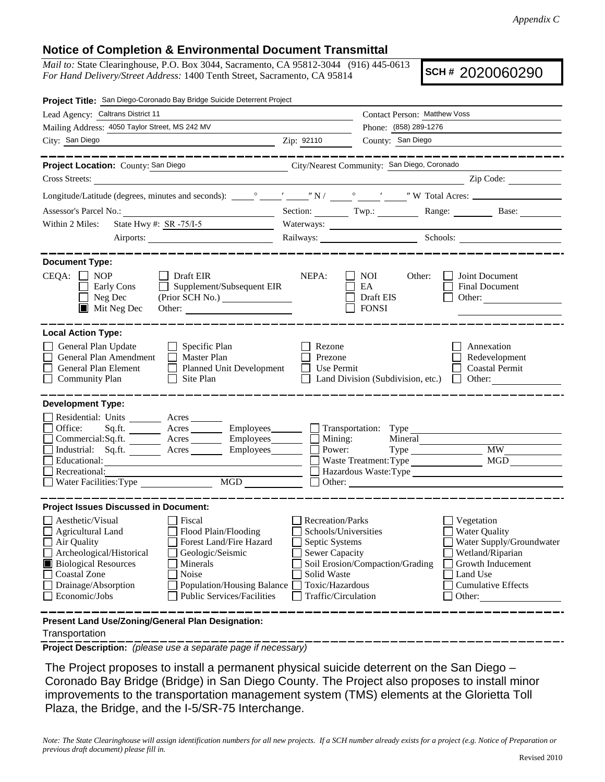## **Notice of Completion & Environmental Document Transmittal**

*Mail to:* State Clearinghouse, P.O. Box 3044, Sacramento, CA 95812-3044 (916) 445-0613 *For Hand Delivery/Street Address:* 1400 Tenth Street, Sacramento, CA 95814

**SCH #** 2020060290

| Lead Agency: Caltrans District 11<br>Contact Person: Matthew Voss<br>Mailing Address: 4050 Taylor Street, MS 242 MV<br>Phone: (858) 289-1276<br>City: San Diego<br>County: San Diego<br>Zip: 92110<br>-----------<br>City/Nearest Community: San Diego, Coronado<br>Project Location: County: San Diego<br>Zip Code:<br>Cross Streets:<br>Section: Twp.: Twp.: Range: Base: Base:<br>State Hwy #: SR -75/I-5<br>Within 2 Miles:<br>Railways: Schools: Schools:<br><b>Document Type:</b><br>$CEQA: \Box NP$<br>$\Box$ Draft EIR<br>NEPA:<br>NOI<br>Other:<br>Joint Document<br>Early Cons<br>$\Box$ Supplement/Subsequent EIR<br>EA<br>Final Document<br>$\Box$<br>$\Box$ Neg Dec<br>(Prior SCH No.)<br>Draft EIS<br>Other:<br>$\blacksquare$ Mit Neg Dec<br><b>FONSI</b><br><b>Local Action Type:</b><br>General Plan Update<br>$\Box$ Specific Plan<br>Rezone<br>Annexation<br>General Plan Amendment<br>$\Box$ Master Plan<br>Prezone<br>Redevelopment<br>General Plan Element<br>Planned Unit Development<br>Use Permit<br><b>Coastal Permit</b><br><b>Community Plan</b><br>Site Plan<br>Land Division (Subdivision, etc.)<br>$\Box$ Other:<br>$\Box$<br><b>Development Type:</b><br>Residential: Units ________ Acres _______<br>Office:<br>Acres ___________ Employees________<br>Transportation: Type<br>Sq.fit.<br>Mining:<br>Power:<br>Commercial:Sq.ft. ________ Acres _________ Employees_______<br>Mineral<br><b>MW</b><br>Industrial: Sq.ft. _______ Acres _______ Employees_______<br>MGD<br>Educational:<br>Waste Treatment: Type<br>Recreational:<br>Hazardous Waste: Type<br>Water Facilities: Type<br><b>Project Issues Discussed in Document:</b><br>Aesthetic/Visual<br>Fiscal<br><b>Recreation/Parks</b><br>Vegetation<br>$\Box$ Agricultural Land<br>Flood Plain/Flooding<br>Schools/Universities<br><b>Water Quality</b><br>Air Quality<br>Forest Land/Fire Hazard<br>Septic Systems<br>Wetland/Riparian<br>Archeological/Historical<br>Geologic/Seismic<br><b>Sewer Capacity</b><br>Soil Erosion/Compaction/Grading<br>Growth Inducement<br><b>Biological Resources</b><br>Minerals<br>Coastal Zone<br>Noise<br>Land Use<br>Solid Waste | Project Title: San Diego-Coronado Bay Bridge Suicide Deterrent Project |                 |  |                                                       |
|-----------------------------------------------------------------------------------------------------------------------------------------------------------------------------------------------------------------------------------------------------------------------------------------------------------------------------------------------------------------------------------------------------------------------------------------------------------------------------------------------------------------------------------------------------------------------------------------------------------------------------------------------------------------------------------------------------------------------------------------------------------------------------------------------------------------------------------------------------------------------------------------------------------------------------------------------------------------------------------------------------------------------------------------------------------------------------------------------------------------------------------------------------------------------------------------------------------------------------------------------------------------------------------------------------------------------------------------------------------------------------------------------------------------------------------------------------------------------------------------------------------------------------------------------------------------------------------------------------------------------------------------------------------------------------------------------------------------------------------------------------------------------------------------------------------------------------------------------------------------------------------------------------------------------------------------------------------------------------------------------------------------------------------------------------------------------------------------------------------------------------------------------------------------|------------------------------------------------------------------------|-----------------|--|-------------------------------------------------------|
|                                                                                                                                                                                                                                                                                                                                                                                                                                                                                                                                                                                                                                                                                                                                                                                                                                                                                                                                                                                                                                                                                                                                                                                                                                                                                                                                                                                                                                                                                                                                                                                                                                                                                                                                                                                                                                                                                                                                                                                                                                                                                                                                                                 |                                                                        |                 |  |                                                       |
|                                                                                                                                                                                                                                                                                                                                                                                                                                                                                                                                                                                                                                                                                                                                                                                                                                                                                                                                                                                                                                                                                                                                                                                                                                                                                                                                                                                                                                                                                                                                                                                                                                                                                                                                                                                                                                                                                                                                                                                                                                                                                                                                                                 |                                                                        |                 |  |                                                       |
|                                                                                                                                                                                                                                                                                                                                                                                                                                                                                                                                                                                                                                                                                                                                                                                                                                                                                                                                                                                                                                                                                                                                                                                                                                                                                                                                                                                                                                                                                                                                                                                                                                                                                                                                                                                                                                                                                                                                                                                                                                                                                                                                                                 |                                                                        |                 |  |                                                       |
|                                                                                                                                                                                                                                                                                                                                                                                                                                                                                                                                                                                                                                                                                                                                                                                                                                                                                                                                                                                                                                                                                                                                                                                                                                                                                                                                                                                                                                                                                                                                                                                                                                                                                                                                                                                                                                                                                                                                                                                                                                                                                                                                                                 |                                                                        |                 |  |                                                       |
|                                                                                                                                                                                                                                                                                                                                                                                                                                                                                                                                                                                                                                                                                                                                                                                                                                                                                                                                                                                                                                                                                                                                                                                                                                                                                                                                                                                                                                                                                                                                                                                                                                                                                                                                                                                                                                                                                                                                                                                                                                                                                                                                                                 |                                                                        |                 |  |                                                       |
|                                                                                                                                                                                                                                                                                                                                                                                                                                                                                                                                                                                                                                                                                                                                                                                                                                                                                                                                                                                                                                                                                                                                                                                                                                                                                                                                                                                                                                                                                                                                                                                                                                                                                                                                                                                                                                                                                                                                                                                                                                                                                                                                                                 |                                                                        |                 |  |                                                       |
|                                                                                                                                                                                                                                                                                                                                                                                                                                                                                                                                                                                                                                                                                                                                                                                                                                                                                                                                                                                                                                                                                                                                                                                                                                                                                                                                                                                                                                                                                                                                                                                                                                                                                                                                                                                                                                                                                                                                                                                                                                                                                                                                                                 |                                                                        |                 |  |                                                       |
|                                                                                                                                                                                                                                                                                                                                                                                                                                                                                                                                                                                                                                                                                                                                                                                                                                                                                                                                                                                                                                                                                                                                                                                                                                                                                                                                                                                                                                                                                                                                                                                                                                                                                                                                                                                                                                                                                                                                                                                                                                                                                                                                                                 |                                                                        |                 |  |                                                       |
|                                                                                                                                                                                                                                                                                                                                                                                                                                                                                                                                                                                                                                                                                                                                                                                                                                                                                                                                                                                                                                                                                                                                                                                                                                                                                                                                                                                                                                                                                                                                                                                                                                                                                                                                                                                                                                                                                                                                                                                                                                                                                                                                                                 |                                                                        |                 |  |                                                       |
|                                                                                                                                                                                                                                                                                                                                                                                                                                                                                                                                                                                                                                                                                                                                                                                                                                                                                                                                                                                                                                                                                                                                                                                                                                                                                                                                                                                                                                                                                                                                                                                                                                                                                                                                                                                                                                                                                                                                                                                                                                                                                                                                                                 |                                                                        |                 |  |                                                       |
|                                                                                                                                                                                                                                                                                                                                                                                                                                                                                                                                                                                                                                                                                                                                                                                                                                                                                                                                                                                                                                                                                                                                                                                                                                                                                                                                                                                                                                                                                                                                                                                                                                                                                                                                                                                                                                                                                                                                                                                                                                                                                                                                                                 |                                                                        |                 |  |                                                       |
|                                                                                                                                                                                                                                                                                                                                                                                                                                                                                                                                                                                                                                                                                                                                                                                                                                                                                                                                                                                                                                                                                                                                                                                                                                                                                                                                                                                                                                                                                                                                                                                                                                                                                                                                                                                                                                                                                                                                                                                                                                                                                                                                                                 |                                                                        |                 |  |                                                       |
|                                                                                                                                                                                                                                                                                                                                                                                                                                                                                                                                                                                                                                                                                                                                                                                                                                                                                                                                                                                                                                                                                                                                                                                                                                                                                                                                                                                                                                                                                                                                                                                                                                                                                                                                                                                                                                                                                                                                                                                                                                                                                                                                                                 |                                                                        |                 |  |                                                       |
|                                                                                                                                                                                                                                                                                                                                                                                                                                                                                                                                                                                                                                                                                                                                                                                                                                                                                                                                                                                                                                                                                                                                                                                                                                                                                                                                                                                                                                                                                                                                                                                                                                                                                                                                                                                                                                                                                                                                                                                                                                                                                                                                                                 |                                                                        |                 |  |                                                       |
|                                                                                                                                                                                                                                                                                                                                                                                                                                                                                                                                                                                                                                                                                                                                                                                                                                                                                                                                                                                                                                                                                                                                                                                                                                                                                                                                                                                                                                                                                                                                                                                                                                                                                                                                                                                                                                                                                                                                                                                                                                                                                                                                                                 |                                                                        |                 |  |                                                       |
| <b>Public Services/Facilities</b><br>Economic/Jobs<br>Traffic/Circulation<br>Other:<br>Present Land Use/Zoning/General Plan Designation:                                                                                                                                                                                                                                                                                                                                                                                                                                                                                                                                                                                                                                                                                                                                                                                                                                                                                                                                                                                                                                                                                                                                                                                                                                                                                                                                                                                                                                                                                                                                                                                                                                                                                                                                                                                                                                                                                                                                                                                                                        | Drainage/Absorption<br>Population/Housing Balance                      | Toxic/Hazardous |  | Water Supply/Groundwater<br><b>Cumulative Effects</b> |

**Transportation** 

**Project Description:** *(please use a separate page if necessary)*

The Project proposes to install a permanent physical suicide deterrent on the San Diego – Coronado Bay Bridge (Bridge) in San Diego County. The Project also proposes to install minor improvements to the transportation management system (TMS) elements at the Glorietta Toll Plaza, the Bridge, and the I-5/SR-75 Interchange.

*Note: The State Clearinghouse will assign identification numbers for all new projects. If a SCH number already exists for a project (e.g. Notice of Preparation or previous draft document) please fill in.*